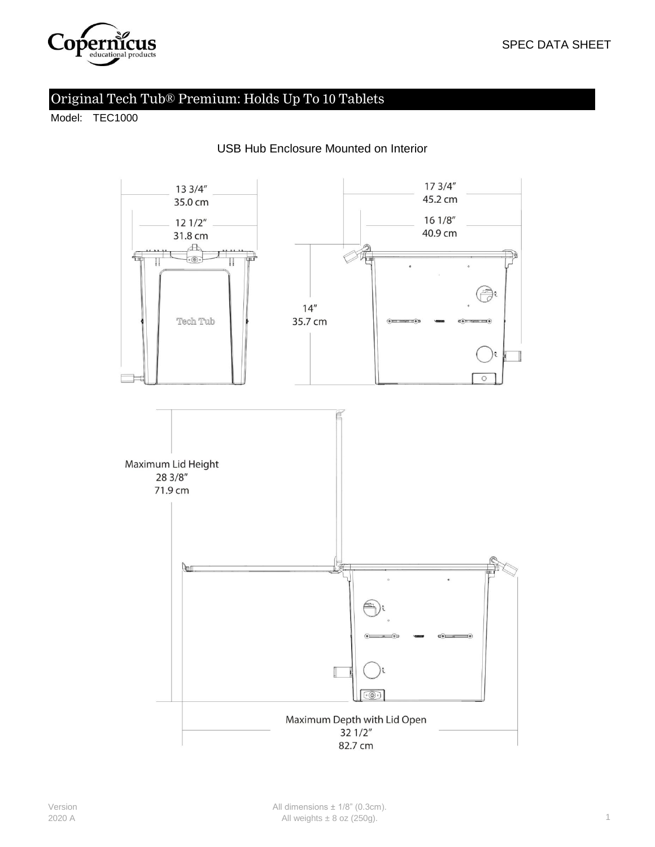

# Original Tech Tub® Premium: Holds Up To 10 Tablets

Model: TEC1000



#### USB Hub Enclosure Mounted on Interior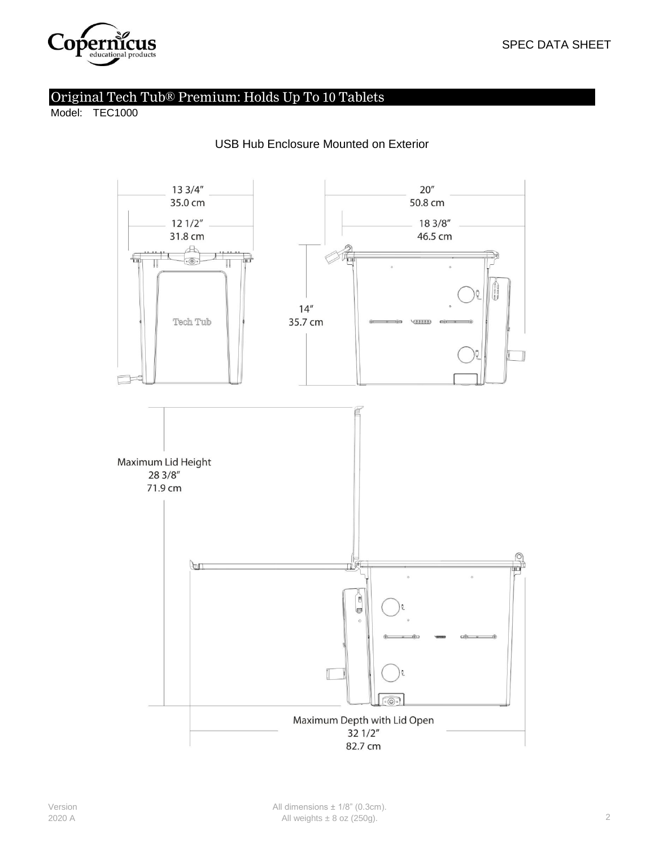

## Original Tech Tub® Premium: Holds Up To 10 Tablets

Model: TEC1000



#### USB Hub Enclosure Mounted on Exterior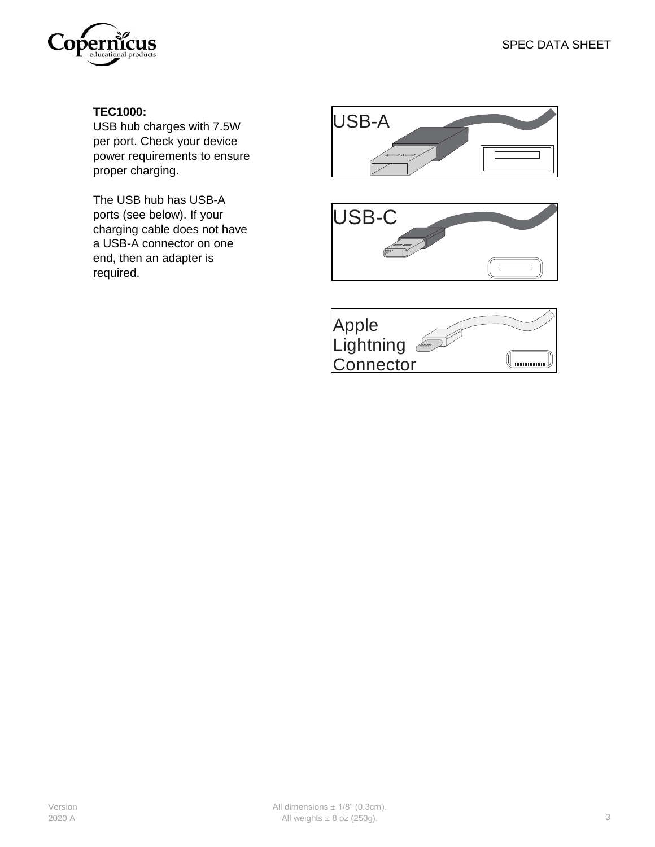

## **TEC1000:**

USB hub charges with 7.5W per port. Check your device power requirements to ensure proper charging.

The USB hub has USB-A ports (see below). If your charging cable does not have a USB-A connector on one end, then an adapter is required.